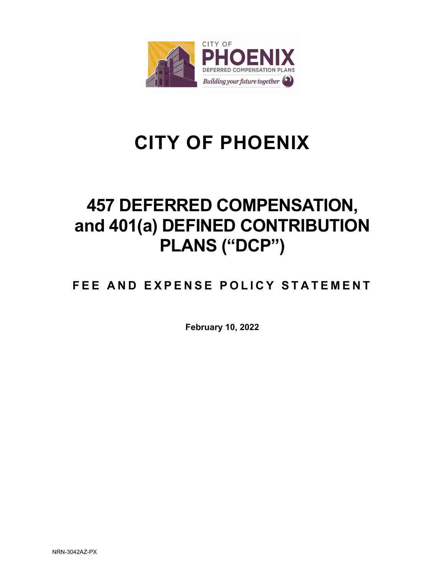

# **CITY OF PHOENIX**

## **457 DEFERRED COMPENSATION, and 401(a) DEFINED CONTRIBUTION PLANS ("DCP")**

### **FEE A ND EXPENSE POLICY STATEMENT**

**February 10, 2022**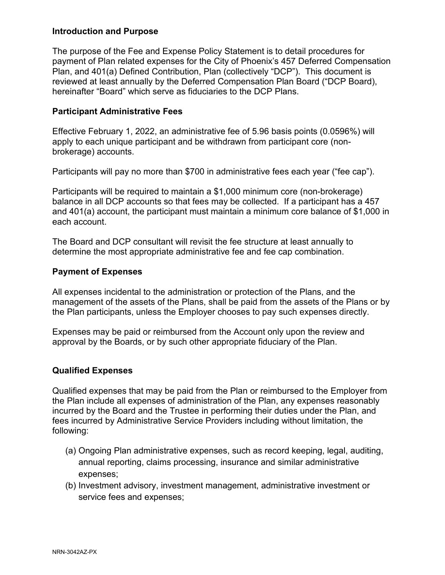#### **Introduction and Purpose**

The purpose of the Fee and Expense Policy Statement is to detail procedures for payment of Plan related expenses for the City of Phoenix's 457 Deferred Compensation Plan, and 401(a) Defined Contribution, Plan (collectively "DCP"). This document is reviewed at least annually by the Deferred Compensation Plan Board ("DCP Board), hereinafter "Board" which serve as fiduciaries to the DCP Plans.

#### **Participant Administrative Fees**

Effective February 1, 2022, an administrative fee of 5.96 basis points (0.0596%) will apply to each unique participant and be withdrawn from participant core (nonbrokerage) accounts.

Participants will pay no more than \$700 in administrative fees each year ("fee cap").

Participants will be required to maintain a \$1,000 minimum core (non-brokerage) balance in all DCP accounts so that fees may be collected. If a participant has a 457 and 401(a) account, the participant must maintain a minimum core balance of \$1,000 in each account.

The Board and DCP consultant will revisit the fee structure at least annually to determine the most appropriate administrative fee and fee cap combination.

#### **Payment of Expenses**

All expenses incidental to the administration or protection of the Plans, and the management of the assets of the Plans, shall be paid from the assets of the Plans or by the Plan participants, unless the Employer chooses to pay such expenses directly.

Expenses may be paid or reimbursed from the Account only upon the review and approval by the Boards, or by such other appropriate fiduciary of the Plan.

#### **Qualified Expenses**

Qualified expenses that may be paid from the Plan or reimbursed to the Employer from the Plan include all expenses of administration of the Plan, any expenses reasonably incurred by the Board and the Trustee in performing their duties under the Plan, and fees incurred by Administrative Service Providers including without limitation, the following:

- (a) Ongoing Plan administrative expenses, such as record keeping, legal, auditing, annual reporting, claims processing, insurance and similar administrative expenses;
- (b) Investment advisory, investment management, administrative investment or service fees and expenses;